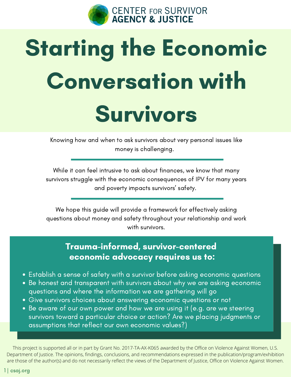

# Starting the Economic Conversation with Survivors

Knowing how and when to ask survivors about very personal issues like money is challenging.

While it can feel intrusive to ask about finances, we know that many survivors struggle with the economic consequences of IPV for many years and poverty impacts survivors' safety.

We hope this guide will provide a framework for effectively asking questions about money and safety throughout your relationship and work with survivors.

#### Trauma-informed, survivor-centered economic advocacy requires us to:

- Establish a sense of safety with a survivor before asking economic questions
- Be honest and transparent with survivors about why we are asking economic questions and where the information we are gathering will go
- Give survivors choices about answering economic questions or not
- Be aware of our own power and how we are using it (e.g. are we steering survivors toward a particular choice or action? Are we placing judgments or assumptions that reflect our own economic values?)

This project is supported all or in part by Grant No. 2017-TA-AX-K065 awarded by the Office on Violence Against Women, U.S. Department of Justice. The opinions, findings, conclusions, and recommendations expressed in the publication/program/exhibition are those of the author(s) and do not necessarily reflect the views of the Department of Justice, Office on Violence Against Women.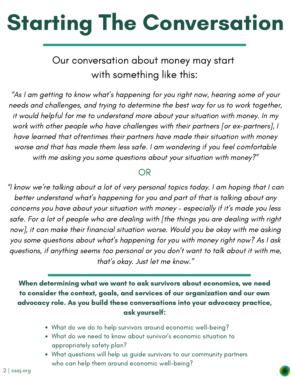# Starting The Conversation

#### Our conversation about money may start with something like this:

"As I am getting to know what's happening for you right now, hearing some of your needs and challenges, and trying to determine the best way for us to work together, it would helpful for me to understand more about your situation with money. In my work with other people who have challenges with their partners [or ex-partners], I have learned that oftentimes their partners have made their situation with money worse and that has made them less safe. I am wondering if you feel comfortable with me asking you some questions about your situation with money?"

#### OR

"I know we're talking about a lot of very personal topics today. I am hoping that I can better understand what's happening for you and part of that is talking about any concerns you have about your situation with money – especially if it's made you less safe. For a lot of people who are dealing with [the things you are dealing with right now], it can make their financial situation worse. Would you be okay with me asking you some questions about what's happening for you with money right now? As I ask questions, if anything seems too personal or you don't want to talk about it with me, that's okay. Just let me know."

When determining what we want to ask survivors about economics, we need to consider the context, goals, and services of our organization and our own advocacy role. As you build these conversations into your advocacy practice, ask yourself:

- What do we do to help survivors around economic well-being?
- What do we need to know about survivor's economic situation to appropriately safety plan?
- What questions will help us guide survivors to our community partners who can help them around economic well-being?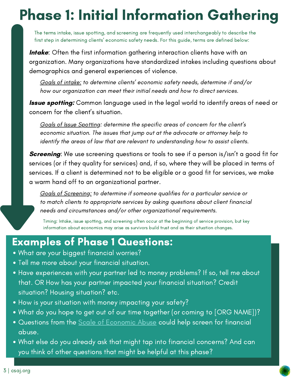## Phase 1: Initial Information Gathering

The terms intake, issue spotting, and screening are frequently used interchangeably to describe the first step in determining clients' economic safety needs. For this guide, terms are defined below:

**Intake**: Often the first information gathering interaction clients have with an organization. Many organizations have standardized intakes including questions about demographics and general experiences of violence.

Goals of intake: to determine clients' economic safety needs, determine if and/or how our organization can meet their initial needs and how to direct services.

**Issue spotting:** Common language used in the legal world to identify areas of need or concern for the client's situation.

Goals of Issue Spotting: determine the specific areas of concern for the client's economic situation. The issues that jump out at the advocate or attorney help to identify the areas of law that are relevant to understanding how to assist clients.

**Screening:** We use screening questions or tools to see if a person is/isn't a good fit for services (or if they quality for services) and, if so, where they will be placed in terms of services. If a client is determined not to be eligible or a good fit for services, we make a warm hand off to an organizational partner.

Goals of Screening: to determine if someone qualifies for a particular service or to match clients to appropriate services by asking questions about client financial needs and circumstances and/or other organizational requirements.

Timing: Intake, issue spotting, and screening often occur at the beginning of service provision, but key information about economics may arise as survivors build trust and as their situation changes.

#### Examples of Phase 1 Questions:

- What are your biggest financial worries?
- Tell me more about your financial situation.
- Have experiences with your partner led to money problems? If so, tell me about that. OR How has your partner impacted your financial situation? Credit situation? Housing situation? etc.
- How is your situation with money impacting your safety?
- What do you hope to get out of our time together (or coming to [ORG NAME])?
- Questions from the **Scale of [Economic](https://www.researchgate.net/publication/5444856_Development_of_the_Scale_of_Economic_Abuse) Abuse could help screen** for financial abuse.
- What else do you already ask that might tap into financial concerns? And can you think of other questions that might be helpful at this phase?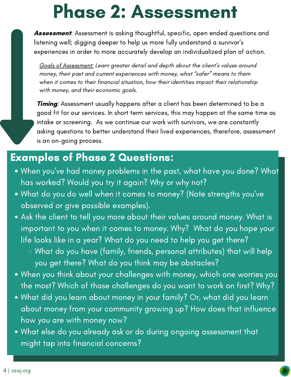# Phase 2: Assessment

Assessment: Assessment is asking thoughtful, specific, open ended questions and listening well; digging deeper to help us more fully understand a survivor's experiences in order to more accurately develop an individualized plan of action.

Goals of Assessment: Learn greater detail and depth about the client's values around money, their past and current experiences with money, what "safer" means to them when it comes to their financial situation, how their identities impact their relationship with money, and their economic goals.

**Timing**: Assessment usually happens after a client has been determined to be a good fit for our services. In short term services, this may happen at the same time as intake or screening. As we continue our work with survivors, we are constantly asking questions to better understand their lived experiences, therefore, assessment is an on-going process.

#### Examples of Phase 2 Questions:

- When you've had money problems in the past, what have you done? What has worked? Would you try it again? Why or why not?
- What do you do well when it comes to money? (Note strengths you've observed or give possible examples).
- Ask the client to tell you more about their values around money. What is important to you when it comes to money. Why? What do you hope your life looks like in a year? What do you need to help you get there?
	- What do you have (family, friends, personal attributes) that will help you get there? What do you think may be obstacles?
- When you think about your challenges with money, which one worries you the most? Which of those challenges do you want to work on first? Why?
- What did you learn about money in your family? Or, what did you learn about money from your community growing up? How does that influence how you are with money now?
- What else do you already ask or do during ongoing assessment that might tap into financial concerns?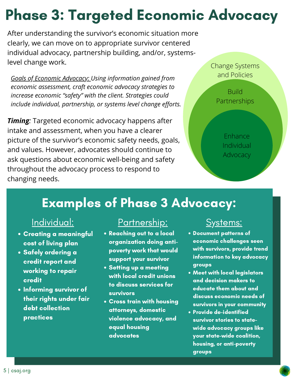## Phase 3: Targeted Economic Advocacy

After understanding the survivor's economic situation more clearly, we can move on to appropriate survivor centered individual advocacy, partnership building, and/or, systemslevel change work.

*Goals of Economic Advocacy: Using information gained from economic assessment, craft economic advocacy strategies to increase economic "safety" with the client. Strategies could include individual, partnership, or systems level change efforts.*

*Timing:* Targeted economic advocacy happens after intake and assessment, when you have a clearer picture of the survivor's economic safety needs, goals, and values. However, advocates should continue to ask questions about economic well-being and safety throughout the advocacy process to respond to changing needs.

Change Systems and Policies

> Build Partnerships

> > Enhance Individual Advocacy

### Examples of Phase 3 Advocacy:

- Creating a meaningful cost of living plan
- Safely ordering a credit report and working to repair credit
- Informing survivor of their rights under fair debt collection practices

#### <u>Individual: Partnership: Systems:</u>

- Reaching out to a local organization doing anti poverty work that would support your survivor
- Setting up a meeting with local credit unions to discuss services for survivors
- Cross train with housing attorneys, domestic violence advocacy, and equal housing advocates

- Document patterns of economic challenges seen with survivors, provide trend information to key advocacy groups
- Meet with local legislators and decision makers to educate them about and discuss economic needs of survivors in your community
- Provide de-identified survivor stories to state wide advocacy groups like your state-wide coalition, housing, or anti-poverty groups